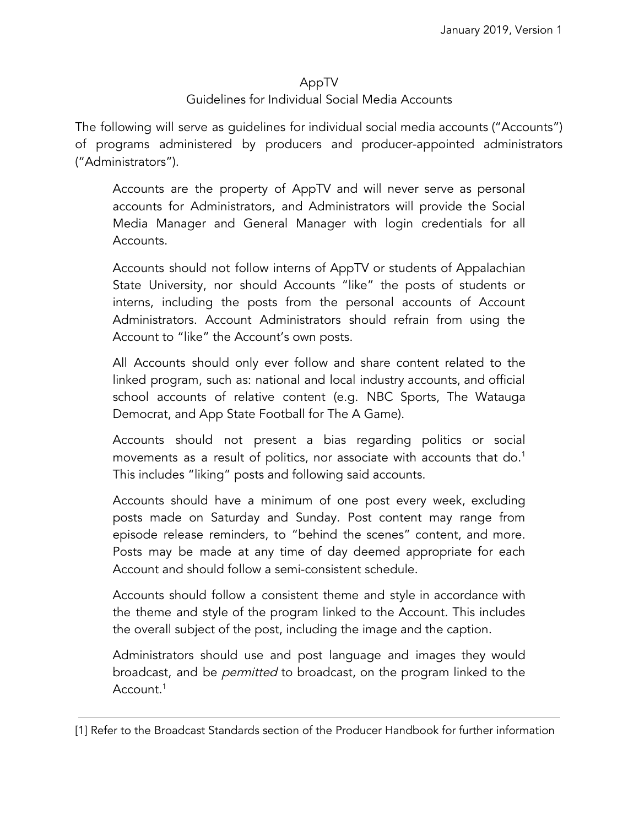## AppTV

## Guidelines for Individual Social Media Accounts

The following will serve as guidelines for individual social media accounts ("Accounts") of programs administered by producers and producer-appointed administrators ("Administrators").

Accounts are the property of AppTV and will never serve as personal accounts for Administrators, and Administrators will provide the Social Media Manager and General Manager with login credentials for all Accounts.

Accounts should not follow interns of AppTV or students of Appalachian State University, nor should Accounts "like" the posts of students or interns, including the posts from the personal accounts of Account Administrators. Account Administrators should refrain from using the Account to "like" the Account's own posts.

All Accounts should only ever follow and share content related to the linked program, such as: national and local industry accounts, and official school accounts of relative content (e.g. NBC Sports, The Watauga Democrat, and App State Football for The A Game).

Accounts should not present a bias regarding politics or social movements as a result of politics, nor associate with accounts that do. 1 This includes "liking" posts and following said accounts.

Accounts should have a minimum of one post every week, excluding posts made on Saturday and Sunday. Post content may range from episode release reminders, to "behind the scenes" content, and more. Posts may be made at any time of day deemed appropriate for each Account and should follow a semi-consistent schedule.

Accounts should follow a consistent theme and style in accordance with the theme and style of the program linked to the Account. This includes the overall subject of the post, including the image and the caption.

Administrators should use and post language and images they would broadcast, and be *permitted* to broadcast, on the program linked to the Account. 1

<sup>[1]</sup> Refer to the Broadcast Standards section of the Producer Handbook for further information